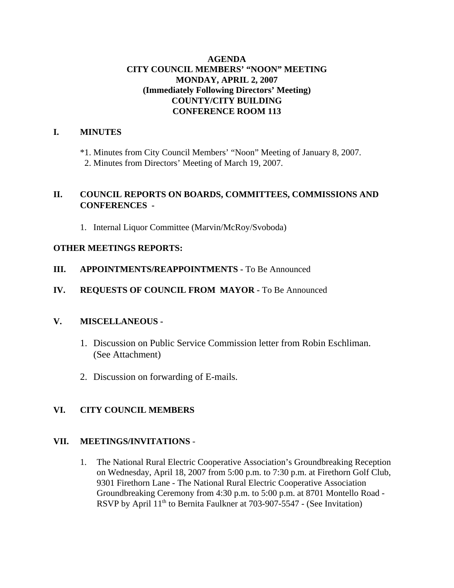## **AGENDA CITY COUNCIL MEMBERS' "NOON" MEETING MONDAY, APRIL 2, 2007 (Immediately Following Directors' Meeting) COUNTY/CITY BUILDING CONFERENCE ROOM 113**

### **I. MINUTES**

\*1. Minutes from City Council Members' "Noon" Meeting of January 8, 2007. 2. Minutes from Directors' Meeting of March 19, 2007.

# **II. COUNCIL REPORTS ON BOARDS, COMMITTEES, COMMISSIONS AND CONFERENCES -**

1. Internal Liquor Committee (Marvin/McRoy/Svoboda)

# **OTHER MEETINGS REPORTS:**

- **III.** APPOINTMENTS/REAPPOINTMENTS To Be Announced
- **IV. REQUESTS OF COUNCIL FROM MAYOR -** To Be Announced

## **V. MISCELLANEOUS -**

- 1. Discussion on Public Service Commission letter from Robin Eschliman. (See Attachment)
- 2. Discussion on forwarding of E-mails.

# **VI. CITY COUNCIL MEMBERS**

## **VII. MEETINGS/INVITATIONS** -

1. The National Rural Electric Cooperative Association's Groundbreaking Reception on Wednesday, April 18, 2007 from 5:00 p.m. to 7:30 p.m. at Firethorn Golf Club, 9301 Firethorn Lane - The National Rural Electric Cooperative Association Groundbreaking Ceremony from 4:30 p.m. to 5:00 p.m. at 8701 Montello Road - RSVP by April  $11<sup>th</sup>$  to Bernita Faulkner at 703-907-5547 - (See Invitation)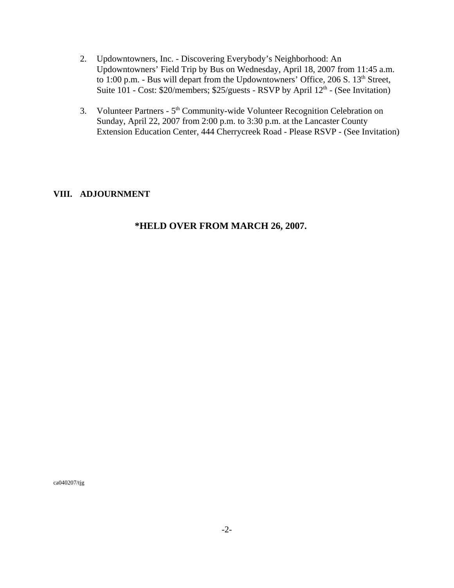- 2. Updowntowners, Inc. Discovering Everybody's Neighborhood: An Updowntowners' Field Trip by Bus on Wednesday, April 18, 2007 from 11:45 a.m. to 1:00 p.m. - Bus will depart from the Updowntowners' Office, 206 S.  $13<sup>th</sup>$  Street, Suite  $101$  - Cost: \$20/members; \$25/guests - RSVP by April  $12<sup>th</sup>$  - (See Invitation)
- 3. Volunteer Partners 5<sup>th</sup> Community-wide Volunteer Recognition Celebration on Sunday, April 22, 2007 from 2:00 p.m. to 3:30 p.m. at the Lancaster County Extension Education Center, 444 Cherrycreek Road - Please RSVP - (See Invitation)

## **VIII. ADJOURNMENT**

# **\*HELD OVER FROM MARCH 26, 2007.**

ca040207/tjg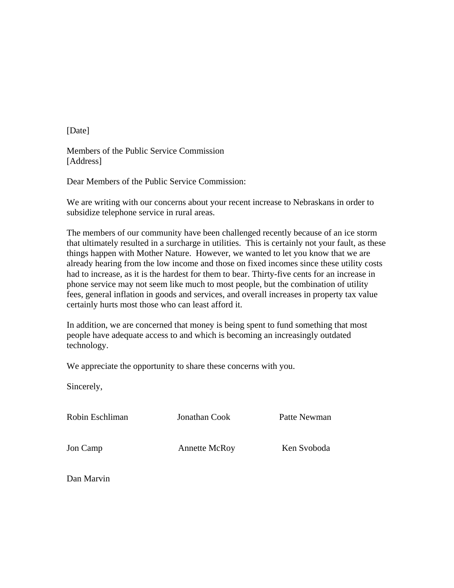[Date]

Members of the Public Service Commission [Address]

Dear Members of the Public Service Commission:

We are writing with our concerns about your recent increase to Nebraskans in order to subsidize telephone service in rural areas.

The members of our community have been challenged recently because of an ice storm that ultimately resulted in a surcharge in utilities. This is certainly not your fault, as these things happen with Mother Nature. However, we wanted to let you know that we are already hearing from the low income and those on fixed incomes since these utility costs had to increase, as it is the hardest for them to bear. Thirty-five cents for an increase in phone service may not seem like much to most people, but the combination of utility fees, general inflation in goods and services, and overall increases in property tax value certainly hurts most those who can least afford it.

In addition, we are concerned that money is being spent to fund something that most people have adequate access to and which is becoming an increasingly outdated technology.

We appreciate the opportunity to share these concerns with you.

Sincerely,

Robin Eschliman Jonathan Cook Patte Newman

Jon Camp **Annette McRoy** Ken Svoboda

Dan Marvin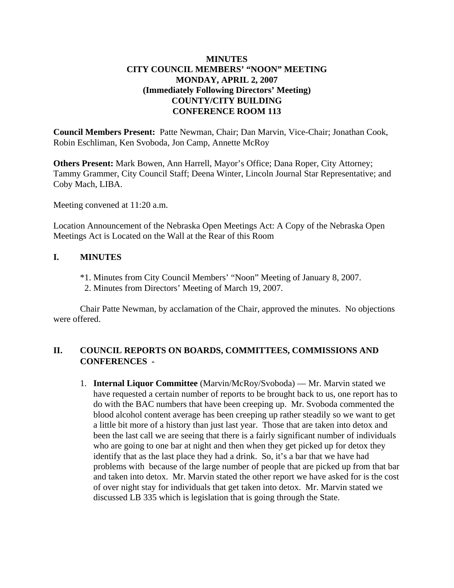## **MINUTES CITY COUNCIL MEMBERS' "NOON" MEETING MONDAY, APRIL 2, 2007 (Immediately Following Directors' Meeting) COUNTY/CITY BUILDING CONFERENCE ROOM 113**

**Council Members Present:** Patte Newman, Chair; Dan Marvin, Vice-Chair; Jonathan Cook, Robin Eschliman, Ken Svoboda, Jon Camp, Annette McRoy

**Others Present:** Mark Bowen, Ann Harrell, Mayor's Office; Dana Roper, City Attorney; Tammy Grammer, City Council Staff; Deena Winter, Lincoln Journal Star Representative; and Coby Mach, LIBA.

Meeting convened at 11:20 a.m.

Location Announcement of the Nebraska Open Meetings Act: A Copy of the Nebraska Open Meetings Act is Located on the Wall at the Rear of this Room

### **I. MINUTES**

- \*1. Minutes from City Council Members' "Noon" Meeting of January 8, 2007.
- 2. Minutes from Directors' Meeting of March 19, 2007.

Chair Patte Newman, by acclamation of the Chair, approved the minutes. No objections were offered.

### **II. COUNCIL REPORTS ON BOARDS, COMMITTEES, COMMISSIONS AND CONFERENCES -**

1. **Internal Liquor Committee** (Marvin/McRoy/Svoboda) — Mr. Marvin stated we have requested a certain number of reports to be brought back to us, one report has to do with the BAC numbers that have been creeping up. Mr. Svoboda commented the blood alcohol content average has been creeping up rather steadily so we want to get a little bit more of a history than just last year. Those that are taken into detox and been the last call we are seeing that there is a fairly significant number of individuals who are going to one bar at night and then when they get picked up for detox they identify that as the last place they had a drink. So, it's a bar that we have had problems with because of the large number of people that are picked up from that bar and taken into detox. Mr. Marvin stated the other report we have asked for is the cost of over night stay for individuals that get taken into detox. Mr. Marvin stated we discussed LB 335 which is legislation that is going through the State.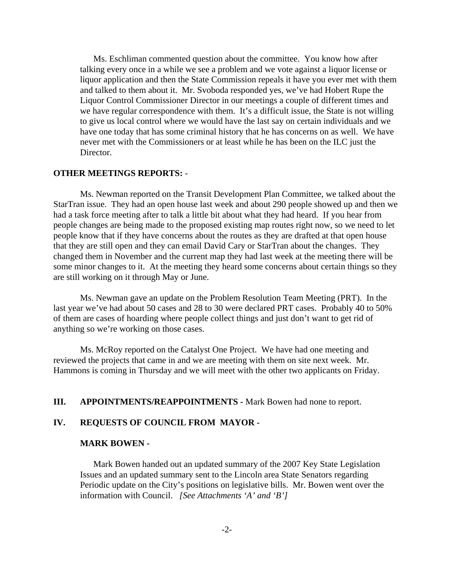Ms. Eschliman commented question about the committee. You know how after talking every once in a while we see a problem and we vote against a liquor license or liquor application and then the State Commission repeals it have you ever met with them and talked to them about it. Mr. Svoboda responded yes, we've had Hobert Rupe the Liquor Control Commissioner Director in our meetings a couple of different times and we have regular correspondence with them. It's a difficult issue, the State is not willing to give us local control where we would have the last say on certain individuals and we have one today that has some criminal history that he has concerns on as well. We have never met with the Commissioners or at least while he has been on the ILC just the Director.

#### **OTHER MEETINGS REPORTS:** -

Ms. Newman reported on the Transit Development Plan Committee, we talked about the StarTran issue. They had an open house last week and about 290 people showed up and then we had a task force meeting after to talk a little bit about what they had heard. If you hear from people changes are being made to the proposed existing map routes right now, so we need to let people know that if they have concerns about the routes as they are drafted at that open house that they are still open and they can email David Cary or StarTran about the changes. They changed them in November and the current map they had last week at the meeting there will be some minor changes to it. At the meeting they heard some concerns about certain things so they are still working on it through May or June.

Ms. Newman gave an update on the Problem Resolution Team Meeting (PRT). In the last year we've had about 50 cases and 28 to 30 were declared PRT cases. Probably 40 to 50% of them are cases of hoarding where people collect things and just don't want to get rid of anything so we're working on those cases.

Ms. McRoy reported on the Catalyst One Project. We have had one meeting and reviewed the projects that came in and we are meeting with them on site next week. Mr. Hammons is coming in Thursday and we will meet with the other two applicants on Friday.

#### **III. APPOINTMENTS/REAPPOINTMENTS -** Mark Bowen had none to report.

### **IV. REQUESTS OF COUNCIL FROM MAYOR -**

#### **MARK BOWEN -**

Mark Bowen handed out an updated summary of the 2007 Key State Legislation Issues and an updated summary sent to the Lincoln area State Senators regarding Periodic update on the City's positions on legislative bills. Mr. Bowen went over the information with Council. *[See Attachments 'A' and 'B']*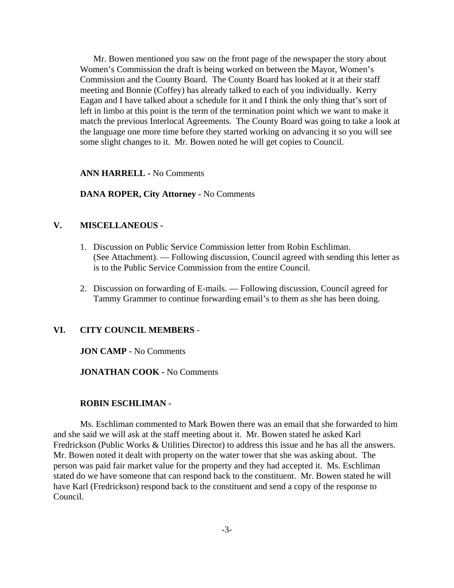Mr. Bowen mentioned you saw on the front page of the newspaper the story about Women's Commission the draft is being worked on between the Mayor, Women's Commission and the County Board. The County Board has looked at it at their staff meeting and Bonnie (Coffey) has already talked to each of you individually. Kerry Eagan and I have talked about a schedule for it and I think the only thing that's sort of left in limbo at this point is the term of the termination point which we want to make it match the previous Interlocal Agreements. The County Board was going to take a look at the language one more time before they started working on advancing it so you will see some slight changes to it. Mr. Bowen noted he will get copies to Council.

**ANN HARRELL -** No Comments

**DANA ROPER, City Attorney -** No Comments

### **V. MISCELLANEOUS -**

- 1. Discussion on Public Service Commission letter from Robin Eschliman. (See Attachment). — Following discussion, Council agreed with sending this letter as is to the Public Service Commission from the entire Council.
- 2. Discussion on forwarding of E-mails. Following discussion, Council agreed for Tammy Grammer to continue forwarding email's to them as she has been doing.

#### **VI. CITY COUNCIL MEMBERS** -

**JON CAMP -** No Comments

**JONATHAN COOK -** No Comments

#### **ROBIN ESCHLIMAN -**

Ms. Eschliman commented to Mark Bowen there was an email that she forwarded to him and she said we will ask at the staff meeting about it. Mr. Bowen stated he asked Karl Fredrickson (Public Works & Utilities Director) to address this issue and he has all the answers. Mr. Bowen noted it dealt with property on the water tower that she was asking about. The person was paid fair market value for the property and they had accepted it. Ms. Eschliman stated do we have someone that can respond back to the constituent. Mr. Bowen stated he will have Karl (Fredrickson) respond back to the constituent and send a copy of the response to Council.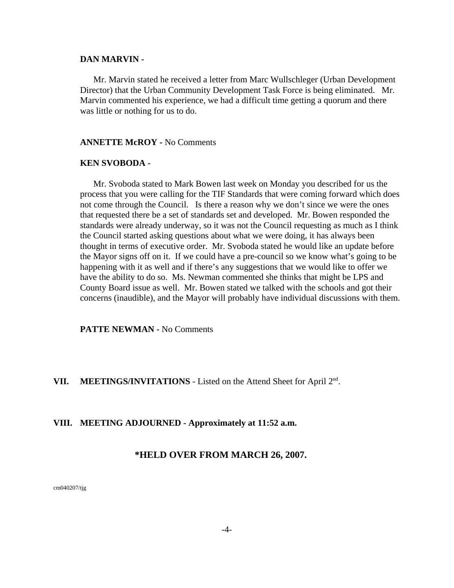#### **DAN MARVIN -**

Mr. Marvin stated he received a letter from Marc Wullschleger (Urban Development Director) that the Urban Community Development Task Force is being eliminated. Mr. Marvin commented his experience, we had a difficult time getting a quorum and there was little or nothing for us to do.

#### **ANNETTE McROY -** No Comments

#### **KEN SVOBODA -**

Mr. Svoboda stated to Mark Bowen last week on Monday you described for us the process that you were calling for the TIF Standards that were coming forward which does not come through the Council. Is there a reason why we don't since we were the ones that requested there be a set of standards set and developed. Mr. Bowen responded the standards were already underway, so it was not the Council requesting as much as I think the Council started asking questions about what we were doing, it has always been thought in terms of executive order. Mr. Svoboda stated he would like an update before the Mayor signs off on it. If we could have a pre-council so we know what's going to be happening with it as well and if there's any suggestions that we would like to offer we have the ability to do so. Ms. Newman commented she thinks that might be LPS and County Board issue as well. Mr. Bowen stated we talked with the schools and got their concerns (inaudible), and the Mayor will probably have individual discussions with them.

**PATTE NEWMAN -** No Comments

#### VII. MEETINGS/INVITATIONS - Listed on the Attend Sheet for April 2<sup>nd</sup>.

#### **VIII. MEETING ADJOURNED - Approximately at 11:52 a.m.**

#### **\*HELD OVER FROM MARCH 26, 2007.**

cm040207/tjg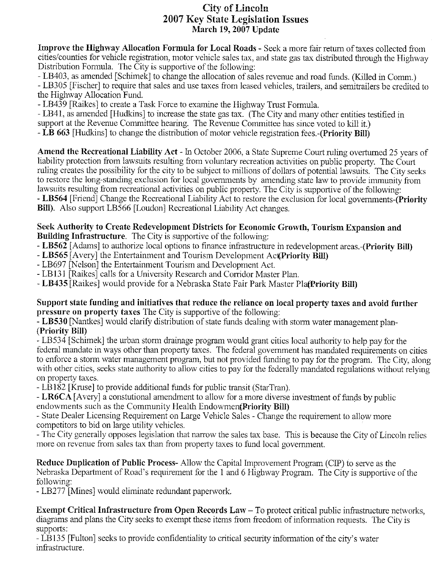# **City of Lincoln 2007 Key State Legislation Issues** March 19, 2007 Update

Improve the Highway Allocation Formula for Local Roads - Seek a more fair return of taxes collected from cities/counties for vehicle registration, motor vehicle sales tax, and state gas tax distributed through the Highway Distribution Formula. The City is supportive of the following:

- LB403, as amended [Schimek] to change the allocation of sales revenue and road funds. (Killed in Comm.) - LB305 [Fischer] to require that sales and use taxes from leased vehicles, trailers, and semitrailers be credited to the Highway Allocation Fund.

- LB439 [Raikes] to create a Task Force to examine the Highway Trust Formula.

- LB41, as amended [Hudkins] to increase the state gas tax. (The City and many other entities testified in

support at the Revenue Committee hearing. The Revenue Committee has since voted to kill it.)

- LB 663 [Hudkins] to change the distribution of motor vehicle registration fees.-(Priority Bill)

Amend the Recreational Liability Act - In October 2006, a State Supreme Court ruling overturned 25 years of liability protection from lawsuits resulting from voluntary recreation activities on public property. The Court ruling creates the possibility for the city to be subject to millions of dollars of potential lawsuits. The City seeks to restore the long-standing exclusion for local governments by amending state law to provide immunity from lawsuits resulting from recreational activities on public property. The City is supportive of the following: - LB564 [Friend] Change the Recreational Liability Act to restore the exclusion for local governments-(Priority **Bill).** Also support LB566 [Loudon] Recreational Liability Act changes.

#### Seek Authority to Create Redevelopment Districts for Economic Growth, Tourism Expansion and **Building Infrastructure.** The City is supportive of the following:

- LB562 [Adams] to authorize local options to finance infrastructure in redevelopment areas.-(Priority Bill)

- LB565 Averyl the Entertainment and Tourism Development Act Priority Bill)
- LB697 [Nelson] the Entertainment Tourism and Development Act.
- LB131 [Raikes] calls for a University Research and Corridor Master Plan.
- LB435 [Raikes] would provide for a Nebraska State Fair Park Master PlatPriority Bill)

### Support state funding and initiatives that reduce the reliance on local property taxes and avoid further pressure on property taxes The City is supportive of the following:

- LB530 [Nantkes] would clarify distribution of state funds dealing with storm water management plan-(Priority Bill)

- LB534 [Schimek] the urban storm drainage program would grant cities local authority to help pay for the federal mandate in ways other than property taxes. The federal government has mandated requirements on cities to enforce a storm water management program, but not provided funding to pay for the program. The City, along with other cities, seeks state authority to allow cities to pay for the federally mandated regulations without relying on property taxes.

- LB182 [Kruse] to provide additional funds for public transit (StarTran).

- LR6CA [Avery] a constutional amendment to allow for a more diverse investment of funds by public endowments such as the Community Health Endowmen(Priority Bill)

- State Dealer Licensing Requirement on Large Vehicle Sales - Change the requirement to allow more competitors to bid on large utility vehicles.

- The City generally opposes legislation that narrow the sales tax base. This is because the City of Lincoln relies more on revenue from sales tax than from property taxes to fund local government.

Reduce Duplication of Public Process-Allow the Capital Improvement Program (CIP) to serve as the Nebraska Department of Road's requirement for the 1 and 6 Highway Program. The City is supportive of the following:

- LB277 [Mines] would eliminate redundant paperwork.

Exempt Critical Infrastructure from Open Records Law - To protect critical public infrastructure networks, diagrams and plans the City seeks to exempt these items from freedom of information requests. The City is supports:

- LB135 [Fulton] seeks to provide confidentiality to critical security information of the city's water infrastructure.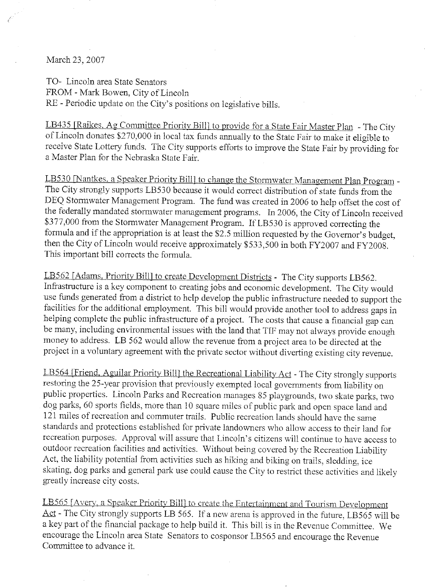March 23, 2007

TO- Lincoln area State Senators FROM - Mark Bowen, City of Lincoln RE - Periodic update on the City's positions on legislative bills.

LB435 [Raikes, Ag Committee Priority Bill] to provide for a State Fair Master Plan - The City of Lincoln donates \$270,000 in local tax funds annually to the State Fair to make it eligible to receive State Lottery funds. The City supports efforts to improve the State Fair by providing for a Master Plan for the Nebraska State Fair.

LB530 [Nantkes. a Speaker Priority Bill] to change the Stormwater Management Plan Program -The City strongly supports LB530 because it would correct distribution of state funds from the DEQ Stormwater Management Program. The fund was created in 2006 to help offset the cost of the federally mandated stormwater management programs. In 2006, the City of Lincoln received \$377,000 from the Stormwater Management Program. If LB530 is approved correcting the formula and if the appropriation is at least the \$2.5 million requested by the Governor's budget, then the City of Lincoln would receive approximately \$533,500 in both FY2007 and FY2008. This important bill corrects the formula.

LB562 [Adams, Priority Bill] to create Development Districts - The City supports LB562. Infrastructure is a key component to creating jobs and economic development. The City would use funds generated from a district to help develop the public infrastructure needed to support the facilities for the additional employment. This bill would provide another tool to address gaps in helping complete the public infrastructure of a project. The costs that cause a financial gap can be many, including environmental issues with the land that TIF may not always provide enough money to address. LB 562 would allow the revenue from a project area to be directed at the project in a voluntary agreement with the private sector without diverting existing city revenue.

LB564 [Friend, Aguilar Priority Bill] the Recreational Liability Act - The City strongly supports restoring the 25-year provision that previously exempted local governments from liability on public properties. Lincoln Parks and Recreation manages 85 playgrounds, two skate parks, two dog parks, 60 sports fields, more than 10 square miles of public park and open space land and 121 miles of recreation and commuter trails. Public recreation lands should have the same standards and protections established for private landowners who allow access to their land for recreation purposes. Approval will assure that Lincoln's citizens will continue to have access to outdoor recreation facilities and activities. Without being covered by the Recreation Liability Act, the liability potential from activities such as hiking and biking on trails, sledding, ice skating, dog parks and general park use could cause the City to restrict these activities and likely greatly increase city costs.

LB565 [Avery, a Speaker Priority Bill] to create the Entertainment and Tourism Development Act - The City strongly supports LB 565. If a new arena is approved in the future, LB565 will be a key part of the financial package to help build it. This bill is in the Revenue Committee. We encourage the Lincoln area State Senators to cosponsor LB565 and encourage the Revenue Committee to advance it.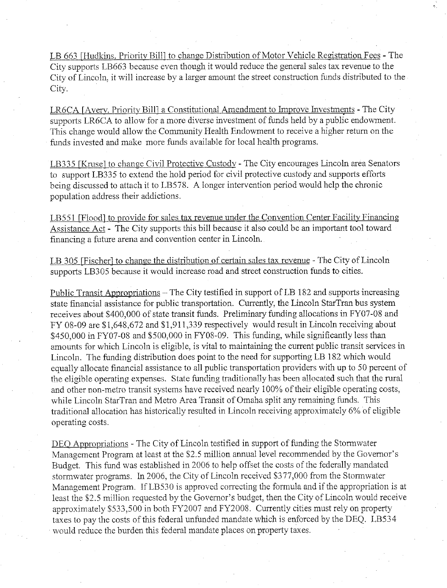LB 663 [Hudkins, Priority Bill] to change Distribution of Motor Vehicle Registration Fees - The City supports LB663 because even though it would reduce the general sales tax revenue to the City of Lincoln, it will increase by a larger amount the street construction funds distributed to the City.

LR6CA [Avery, Priority Bill] a Constitutional Amendment to Improve Investments - The City supports LR6CA to allow for a more diverse investment of funds held by a public endowment. This change would allow the Community Health Endowment to receive a higher return on the funds invested and make more funds available for local health programs.

LB335 [Kruse] to change Civil Protective Custody - The City encourages Lincoln area Senators to support LB335 to extend the hold period for civil protective custody and supports efforts being discussed to attach it to LB578. A longer intervention period would help the chronic population address their addictions.

LB551 [Flood] to provide for sales tax revenue under the Convention Center Facility Financing Assistance Act - The City supports this bill because it also could be an important tool toward financing a future arena and convention center in Lincoln.

LB 305 [Fischer] to change the distribution of certain sales tax revenue - The City of Lincoln supports LB305 because it would increase road and street construction funds to cities.

Public Transit Appropriations – The City testified in support of LB 182 and supports increasing state financial assistance for public transportation. Currently, the Lincoln StarTran bus system receives about \$400,000 of state transit funds. Preliminary funding allocations in FY07-08 and FY 08-09 are \$1,648,672 and \$1,911,339 respectively would result in Lincoln receiving about \$450,000 in FY07-08 and \$500,000 in FY08-09. This funding, while significantly less than amounts for which Lincoln is eligible, is vital to maintaining the current public transit services in Lincoln. The funding distribution does point to the need for supporting LB 182 which would equally allocate financial assistance to all public transportation providers with up to 50 percent of the eligible operating expenses. State funding traditionally has been allocated such that the rural and other non-metro transit systems have received nearly 100% of their eligible operating costs, while Lincoln StarTran and Metro Area Transit of Omaha split any remaining funds. This traditional allocation has historically resulted in Lincoln receiving approximately 6% of eligible operating costs.

DEO Appropriations - The City of Lincoln testified in support of funding the Stormwater Management Program at least at the \$2.5 million annual level recommended by the Governor's Budget. This fund was established in 2006 to help offset the costs of the federally mandated stormwater programs. In 2006, the City of Lincoln received \$377,000 from the Stormwater Management Program. If LB530 is approved correcting the formula and if the appropriation is at least the \$2.5 million requested by the Governor's budget, then the City of Lincoln would receive approximately \$533,500 in both FY2007 and FY2008. Currently cities must rely on property taxes to pay the costs of this federal unfunded mandate which is enforced by the DEQ. LB534 would reduce the burden this federal mandate places on property taxes.